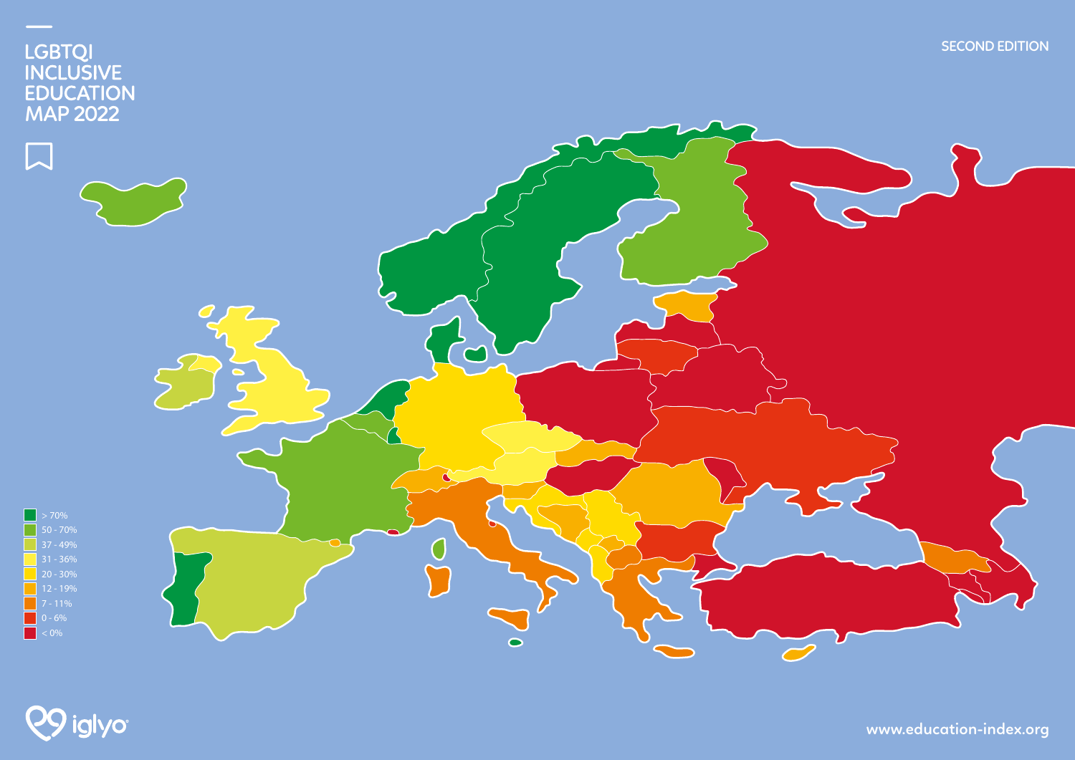



**www.education-index.org**